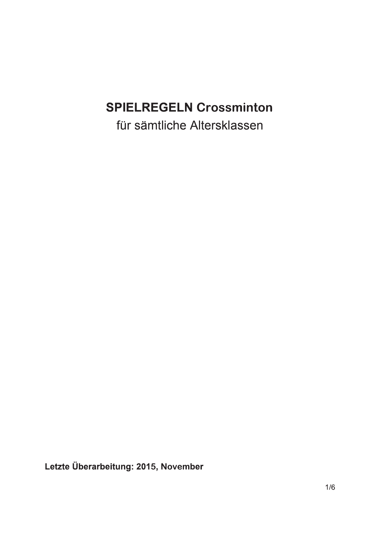# **SPIELREGELN Crossminton**

für sämtliche Altersklassen

Letzte Überarbeitung: 2015, November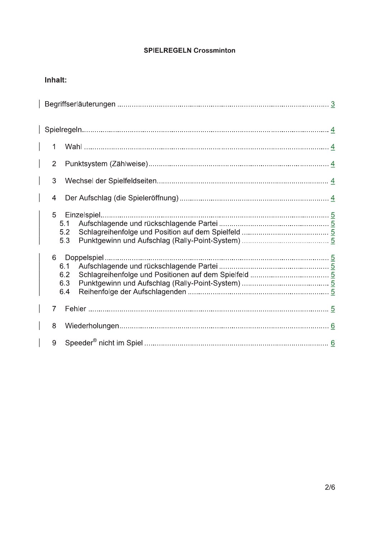## **SPIELREGELN Crossminton**

## Inhalt:

| 1                                             |  |
|-----------------------------------------------|--|
| $\overline{2}$                                |  |
| 3                                             |  |
| 4                                             |  |
| 5<br>Einzelspiel<br>5.1<br>5.2<br>5.3         |  |
| 6<br>Doppelspiel.<br>6.1<br>6.2<br>6.3<br>6.4 |  |
| $\overline{7}$                                |  |
| 8                                             |  |
| 9                                             |  |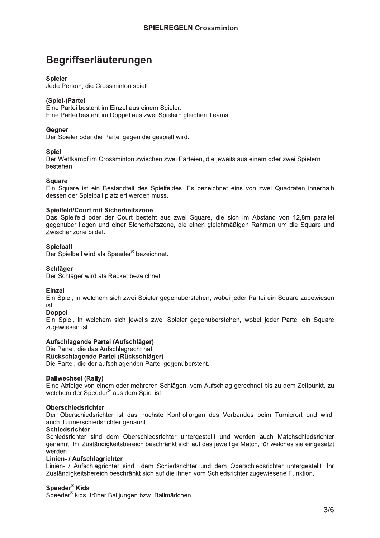## Begriffserläuterungen

## **Spieler**

Jede Person, die Crossminton spielt.

## (Spiel-)Partei

Eine Partei besteht im Einzel aus einem Spieler. Eine Partei besteht im Doppel aus zwei Spielern gleichen Teams.

## **Geaner**

Der Spieler oder die Partei gegen die gespielt wird.

## **Spiel**

Der Wettkampf im Crossminton zwischen zwei Parteien, die jeweils aus einem oder zwei Spielern bestehen.

## **Square**

Ein Square ist ein Bestandteil des Spielfeldes. Es bezeichnet eins von zwei Quadraten innerhalb dessen der Spielball platziert werden muss.

## Spielfeld/Court mit Sicherheitszone

Das Spielfeld oder der Court besteht aus zwei Square, die sich im Abstand von 12.8m parallel gegenüber liegen und einer Sicherheitszone, die einen gleichmäßigen Rahmen um die Square und Zwischenzone bildet.

## **Spielball**

Der Spielball wird als Speeder® bezeichnet.

## **Schläger**

Der Schläger wird als Racket bezeichnet.

## Einzel

Ein Spiel, in welchem sich zwei Spieler gegenüberstehen, wobei jeder Partei ein Square zugewiesen ist.

## **Doppel**

Ein Spiel, in welchem sich jeweils zwei Spieler gegenüberstehen, wobei jeder Partei ein Square zugewiesen ist.

## Aufschlagende Partei (Aufschläger)

Die Partei, die das Aufschlagrecht hat. Rückschlagende Partei (Rückschläger)

Die Partei, die der aufschlagenden Partei gegenübersteht.

## **Ballwechsel (Rally)**

Eine Abfolge von einem oder mehreren Schlägen, vom Aufschlag gerechnet bis zu dem Zeitpunkt, zu welchem der Speeder® aus dem Spiel ist.

## **Oberschiedsrichter**

Der Oberschiedsrichter ist das höchste Kontrollorgan des Verbandes beim Turnierort und wird auch Turnierschiedsrichter genannt.

### **Schiedsrichter**

Schiedsrichter sind dem Oberschiedsrichter untergestellt und werden auch Matchschiedsrichter genannt. Ihr Zuständigkeitsbereich beschränkt sich auf das jeweilige Match, für welches sie eingesetzt werden.

### Linien- / Aufschlagrichter

Linien- / Aufschlagrichter sind dem Schiedsrichter und dem Oberschiedsrichter untergestellt. Ihr Zuständigkeitsbereich beschränkt sich auf die ihnen vom Schiedsrichter zugewiesene Funktion.

Speeder<sup>®</sup> Kids<br>Speeder<sup>®</sup> kids, früher Balljungen bzw. Ballmädchen.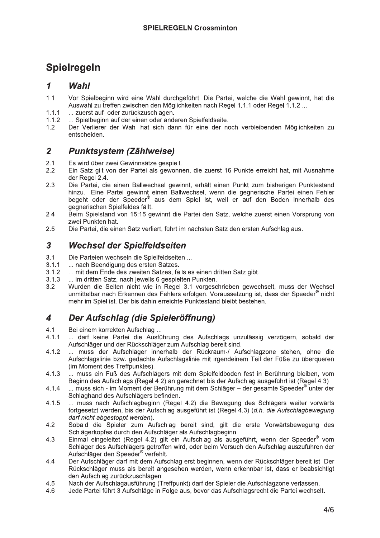## **Spielregeln**

### $\mathbf{1}$ Wahl

- $1.1$ Vor Spielbeginn wird eine Wahl durchgeführt. Die Partei, welche die Wahl gewinnt, hat die Auswahl zu treffen zwischen den Möglichkeiten nach Regel 1.1.1 oder Regel 1.1.2 ...
- ... zuerst auf- oder zurückzuschlagen.  $1.1.1$
- ... Spielbeginn auf der einen oder anderen Spielfeldseite.  $1.1.2$
- $1.2$ Der Verlierer der Wahl hat sich dann für eine der noch verbleibenden Möglichkeiten zu entscheiden.

### $\overline{2}$ **Punktsystem (Zählweise)**

- $2.1$ Es wird über zwei Gewinnsätze gespielt.
- $2.2$ Ein Satz gilt von der Partei als gewonnen, die zuerst 16 Punkte erreicht hat, mit Ausnahme der Regel 2.4.
- $2.3$ Die Partei, die einen Ballwechsel gewinnt, erhält einen Punkt zum bisherigen Punktestand hinzu. Eine Partei gewinnt einen Ballwechsel, wenn die gegnerische Partei einen Fehler begeht oder der Speeder® aus dem Spiel ist, weil er auf den Boden innerhalb des gegnerischen Spielfeldes fällt.
- $2.4$ Beim Spielstand von 15:15 gewinnt die Partei den Satz, welche zuerst einen Vorsprung von zwei Punkten hat.
- $2.5$ Die Partei, die einen Satz verliert, führt im nächsten Satz den ersten Aufschlag aus.

### $\overline{3}$ **Wechsel der Spielfeldseiten**

- $3<sub>1</sub>$ Die Parteien wechseln die Spielfeldseiten ...
- $3.1.1$ ... nach Beendigung des ersten Satzes.
- $3.1.2$ ... mit dem Ende des zweiten Satzes, falls es einen dritten Satz gibt.
- ... im dritten Satz, nach jeweils 6 gespielten Punkten.  $3.1.3$
- Wurden die Seiten nicht wie in Regel 3.1 vorgeschrieben gewechselt, muss der Wechsel  $3.2$ unmittelbar nach Erkennen des Fehlers erfolgen. Voraussetzung ist, dass der Speeder® nicht mehr im Spiel ist. Der bis dahin erreichte Punktestand bleibt bestehen.

### $\overline{\mathbf{4}}$ Der Aufschlag (die Spieleröffnung)

- $4.1$ Bei einem korrekten Aufschlag ...
- ... darf keine Partei die Ausführung des Aufschlags unzulässig verzögern, sobald der  $4.1.1$ Aufschläger und der Rückschläger zum Aufschlag bereit sind.
- $4.1.2$ ... muss der Aufschläger innerhalb der Rückraum-/ Aufschlagzone stehen, ohne die Aufschlagslinie bzw. gedachte Aufschlagslinie mit irgendeinem Teil der Füße zu überqueren (im Moment des Treffpunktes).
- ... muss ein Fuß des Aufschlägers mit dem Spielfeldboden fest in Berührung bleiben, vom  $4.1.3$ Beginn des Aufschlags (Regel 4.2) an gerechnet bis der Aufschlag ausgeführt ist (Regel 4.3).
- $4.1.4$ ... muss sich - im Moment der Berührung mit dem Schläger – der gesamte Speeder® unter der Schlaghand des Aufschlägers befinden.
- $4.1.5$ ... muss nach Aufschlagbeginn (Regel 4.2) die Bewegung des Schlägers weiter vorwärts fortgesetzt werden, bis der Aufschlag ausgeführt ist (Regel 4.3) (d.h. die Aufschlagbewegung darf nicht abgestoppt werden).
- Sobald die Spieler zum Aufschlag bereit sind, gilt die erste Vorwärtsbewegung des  $4.2$ Schlägerkopfes durch den Aufschläger als Aufschlagbeginn.
- Einmal eingeleitet (Regel 4.2) gilt ein Aufschlag als ausgeführt, wenn der Speeder® vom  $4.3$ Schläger des Aufschlägers getroffen wird, oder beim Versuch den Aufschlag auszuführen der Aufschläger den Speeder® verfehlt.
- Der Aufschläger darf mit dem Aufschlag erst beginnen, wenn der Rückschläger bereit ist. Der  $44$ Rückschläger muss als bereit angesehen werden, wenn erkennbar ist, dass er beabsichtigt den Aufschlag zurückzuschlagen.
- Nach der Aufschlagausführung (Treffpunkt) darf der Spieler die Aufschlagzone verlassen. 4.5
- 4.6 Jede Partei führt 3 Aufschläge in Folge aus, bevor das Aufschlagsrecht die Partei wechselt.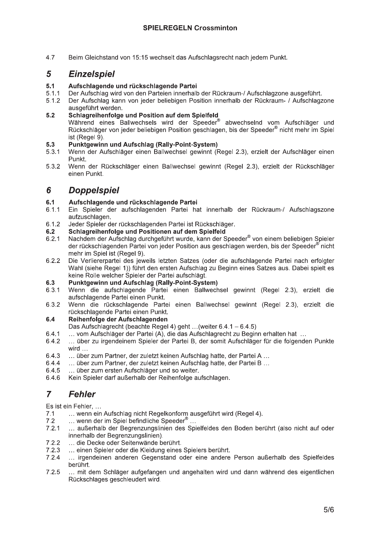4.7 Beim Gleichstand von 15:15 wechselt das Aufschlagsrecht nach jedem Punkt.

### 5 **Einzelspiel**

### $5.1$ Aufschlagende und rückschlagende Partei

- $5.1.1$ Der Aufschlag wird von den Parteien innerhalb der Rückraum-/ Aufschlagzone ausgeführt.
- $5.1.2$ Der Aufschlag kann von jeder beliebigen Position innerhalb der Rückraum- / Aufschlagzone ausgeführt werden.

### $5.2$ Schlagreihenfolge und Position auf dem Spielfeld

Während eines Ballwechsels wird der Speeder® abwechselnd vom Aufschläger und Rückschläger von jeder beliebigen Position geschlagen, bis der Speeder® nicht mehr im Spiel ist (Reael 9).

### $5.3$ Punktgewinn und Aufschlag (Rally-Point-System)

- $5.3.1$ Wenn der Aufschläger einen Ballwechsel gewinnt (Regel 2.3), erzielt der Aufschläger einen Punkt
- 5.3.2 Wenn der Rückschläger einen Ballwechsel gewinnt (Regel 2.3), erzielt der Rückschläger einen Punkt.

### **Doppelspiel** 6

### $6.1$ Aufschlagende und rückschlagende Partei

- $6.1.1$ Ein Spieler der aufschlagenden Partei hat innerhalb der Rückraum-/ Aufschlagszone aufzuschlagen.
- $6.1.2$ Jeder Spieler der rückschlagenden Partei ist Rückschläger.
- $6.2$ Schlagreihenfolge und Positionen auf dem Spielfeld
- Nachdem der Aufschlag durchgeführt wurde, kann der Speeder® von einem beliebigen Spieler  $6.2.1$ der rückschlagenden Partei von jeder Position aus geschlagen werden, bis der Speeder® nicht mehr im Spiel ist (Regel 9).
- Die Verliererpartei des jeweils letzten Satzes (oder die aufschlagende Partei nach erfolgter  $6.2.2$ Wahl (siehe Regel 1)) führt den ersten Aufschlag zu Beginn eines Satzes aus. Dabei spielt es keine Rolle welcher Spieler der Partei aufschlägt.

#### 6.3 Punktgewinn und Aufschlag (Rally-Point-System)

- Wenn die aufschlagende Partei einen Ballwechsel gewinnt (Regel 2.3), erzielt die  $6.3.1$ aufschlagende Partei einen Punkt.
- 6.3.2 Wenn die rückschlagende Partei einen Ballwechsel gewinnt (Regel 2.3), erzielt die rückschlagende Partei einen Punkt.

#### Reihenfolge der Aufschlagenden  $6.4$

- Das Aufschlagrecht (beachte Regel 4) geht ... (weiter 6.4.1 6.4.5)
- 641 ... vom Aufschläger der Partei (A), die das Aufschlagrecht zu Beginn erhalten hat ...
- ... über zu irgendeinem Spieler der Partei B, der somit Aufschläger für die folgenden Punkte 6.4.2 wird
- 6.4.3 ... über zum Partner, der zuletzt keinen Aufschlag hatte, der Partei A ...
- 6.4.4 ... über zum Partner, der zuletzt keinen Aufschlag hatte, der Partei B ...
- ... über zum ersten Aufschläger und so weiter. 6.4.5
- 6.4.6 Kein Spieler darf außerhalb der Reihenfolge aufschlagen.

### $\overline{7}$ **Fehler**

Es ist ein Fehler....

- $7.1$ ... wenn ein Aufschlag nicht Regelkonform ausgeführt wird (Regel 4).
- ... wenn der im Spiel befindliche Speeder<sup>®</sup> ...  $7.2$
- $7.2.1$ ... außerhalb der Begrenzungslinien des Spielfeldes den Boden berührt (also nicht auf oder innerhalb der Begrenzungslinien).
- $7.2.2$ ... die Decke oder Seitenwände berührt.
- $7.2.3$ ... einen Spieler oder die Kleidung eines Spielers berührt.
- $7.2.4$ ... irgendeinen anderen Gegenstand oder eine andere Person außerhalb des Spielfeldes berührt.
- $7.2.5$ ... mit dem Schläger aufgefangen und angehalten wird und dann während des eigentlichen Rückschlages geschleudert wird.